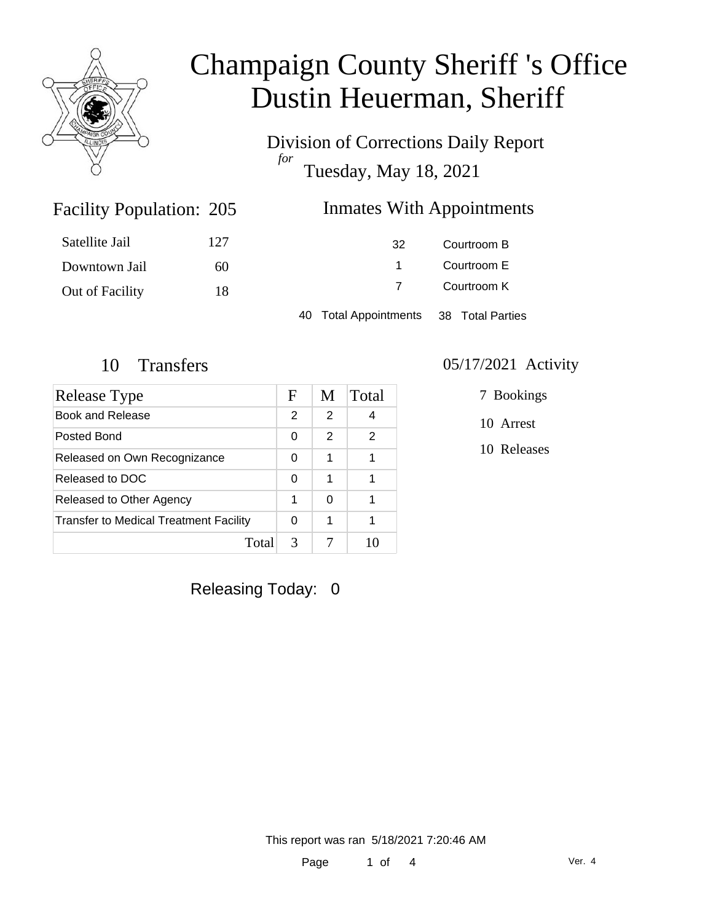

Division of Corrections Daily Report *for* Tuesday, May 18, 2021

### Inmates With Appointments

| Satellite Jail  | 127 | 32                    | Courtroom B      |  |
|-----------------|-----|-----------------------|------------------|--|
| Downtown Jail   | 60  |                       | Courtroom E      |  |
| Out of Facility | 18  |                       | Courtroom K      |  |
|                 |     | 40 Total Appointments | 38 Total Parties |  |

Facility Population: 205

| <b>Release Type</b>                           | F | M | Total |
|-----------------------------------------------|---|---|-------|
| <b>Book and Release</b>                       | 2 | 2 |       |
| Posted Bond                                   |   | 2 | 2     |
| Released on Own Recognizance                  |   | 1 |       |
| Released to DOC                               | 0 |   |       |
| Released to Other Agency                      |   | 0 |       |
| <b>Transfer to Medical Treatment Facility</b> |   |   |       |
| Total                                         | 3 |   |       |

#### 10 Transfers 05/17/2021 Activity

7 Bookings

10 Arrest

10 Releases

Releasing Today: 0

This report was ran 5/18/2021 7:20:46 AM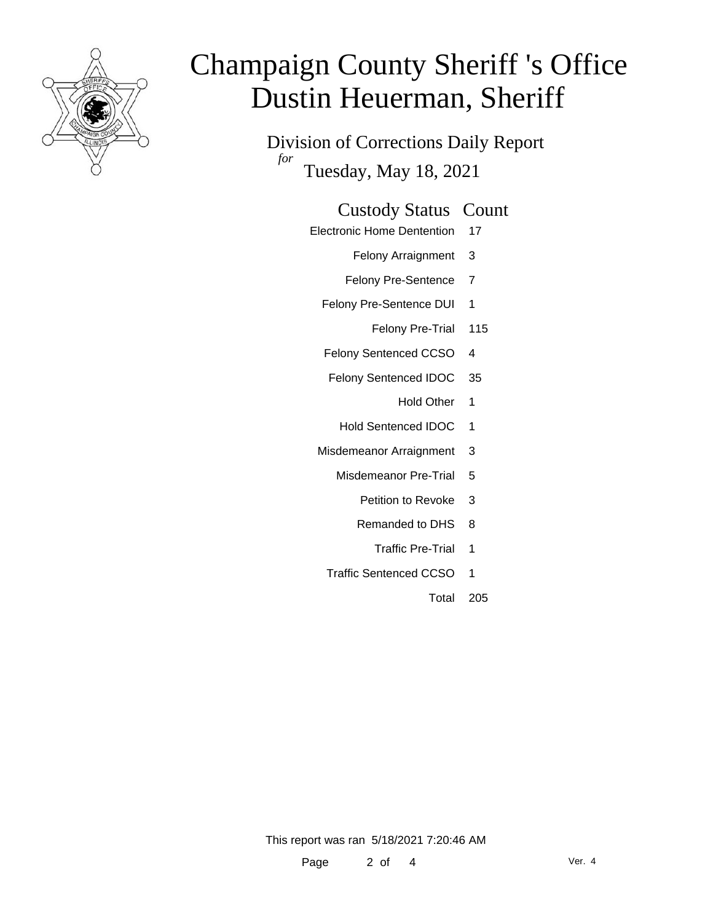

Division of Corrections Daily Report *for* Tuesday, May 18, 2021

#### Custody Status Count

- Electronic Home Dentention 17
	- Felony Arraignment 3
	- Felony Pre-Sentence 7
	- Felony Pre-Sentence DUI 1
		- Felony Pre-Trial 115
	- Felony Sentenced CCSO 4
	- Felony Sentenced IDOC 35
		- Hold Other 1
		- Hold Sentenced IDOC 1
	- Misdemeanor Arraignment 3
		- Misdemeanor Pre-Trial 5
			- Petition to Revoke 3
			- Remanded to DHS 8
				- Traffic Pre-Trial 1
		- Traffic Sentenced CCSO 1
			- Total 205

This report was ran 5/18/2021 7:20:46 AM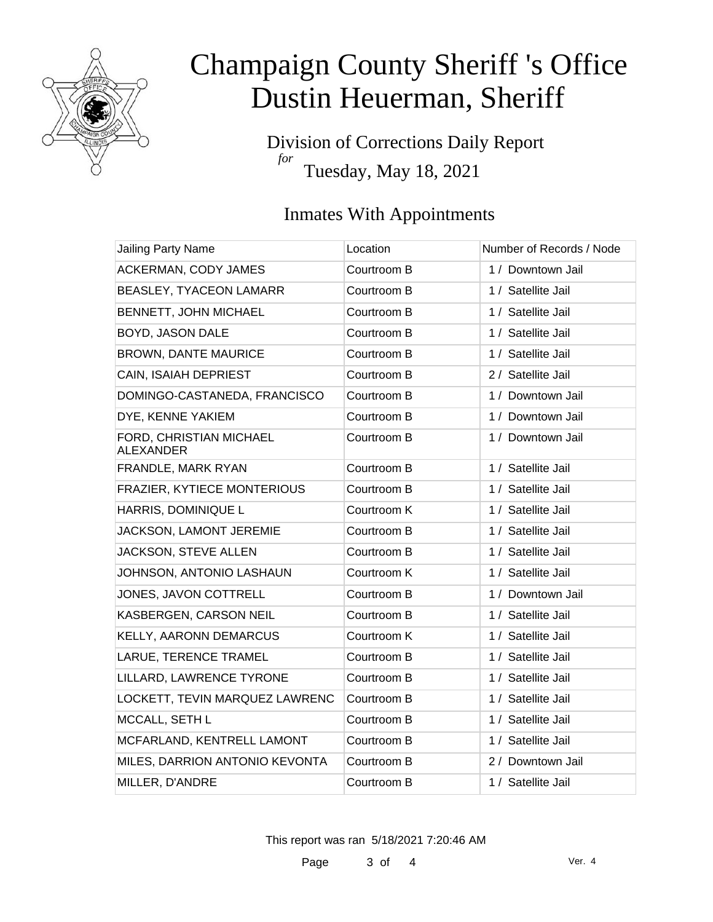

Division of Corrections Daily Report *for* Tuesday, May 18, 2021

### Inmates With Appointments

| Jailing Party Name                          | Location    | Number of Records / Node |
|---------------------------------------------|-------------|--------------------------|
| ACKERMAN, CODY JAMES                        | Courtroom B | 1 / Downtown Jail        |
| <b>BEASLEY, TYACEON LAMARR</b>              | Courtroom B | 1 / Satellite Jail       |
| BENNETT, JOHN MICHAEL                       | Courtroom B | 1 / Satellite Jail       |
| BOYD, JASON DALE                            | Courtroom B | 1 / Satellite Jail       |
| <b>BROWN, DANTE MAURICE</b>                 | Courtroom B | 1 / Satellite Jail       |
| CAIN, ISAIAH DEPRIEST                       | Courtroom B | 2 / Satellite Jail       |
| DOMINGO-CASTANEDA, FRANCISCO                | Courtroom B | 1 / Downtown Jail        |
| DYE, KENNE YAKIEM                           | Courtroom B | 1 / Downtown Jail        |
| FORD, CHRISTIAN MICHAEL<br><b>ALEXANDER</b> | Courtroom B | 1 / Downtown Jail        |
| FRANDLE, MARK RYAN                          | Courtroom B | 1 / Satellite Jail       |
| FRAZIER, KYTIECE MONTERIOUS                 | Courtroom B | 1 / Satellite Jail       |
| HARRIS, DOMINIQUE L                         | Courtroom K | 1 / Satellite Jail       |
| JACKSON, LAMONT JEREMIE                     | Courtroom B | 1 / Satellite Jail       |
| JACKSON, STEVE ALLEN                        | Courtroom B | 1 / Satellite Jail       |
| JOHNSON, ANTONIO LASHAUN                    | Courtroom K | 1 / Satellite Jail       |
| JONES, JAVON COTTRELL                       | Courtroom B | 1 / Downtown Jail        |
| KASBERGEN, CARSON NEIL                      | Courtroom B | 1 / Satellite Jail       |
| KELLY, AARONN DEMARCUS                      | Courtroom K | 1 / Satellite Jail       |
| LARUE, TERENCE TRAMEL                       | Courtroom B | 1 / Satellite Jail       |
| LILLARD, LAWRENCE TYRONE                    | Courtroom B | 1 / Satellite Jail       |
| LOCKETT, TEVIN MARQUEZ LAWRENC              | Courtroom B | 1 / Satellite Jail       |
| MCCALL, SETH L                              | Courtroom B | 1 / Satellite Jail       |
| MCFARLAND, KENTRELL LAMONT                  | Courtroom B | 1 / Satellite Jail       |
| MILES, DARRION ANTONIO KEVONTA              | Courtroom B | 2 / Downtown Jail        |
| MILLER, D'ANDRE                             | Courtroom B | 1 / Satellite Jail       |

This report was ran 5/18/2021 7:20:46 AM